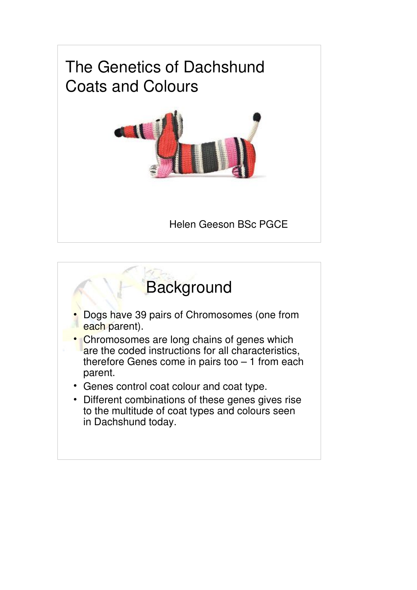

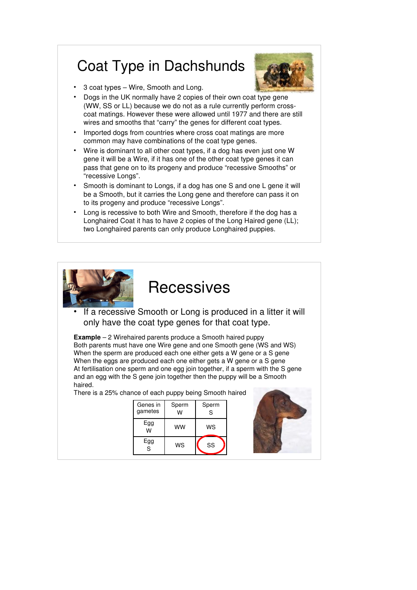## Coat Type in Dachshunds



- 3 coat types Wire, Smooth and Long.
- Dogs in the UK normally have 2 copies of their own coat type gene (WW, SS or LL) because we do not as a rule currently perform crosscoat matings. However these were allowed until 1977 and there are still wires and smooths that "carry" the genes for different coat types.
- Imported dogs from countries where cross coat matings are more common may have combinations of the coat type genes.
- Wire is dominant to all other coat types, if a dog has even just one W gene it will be a Wire, if it has one of the other coat type genes it can pass that gene on to its progeny and produce "recessive Smooths" or "recessive Longs".
- Smooth is dominant to Longs, if a dog has one S and one L gene it will be a Smooth, but it carries the Long gene and therefore can pass it on to its progeny and produce "recessive Longs".
- Long is recessive to both Wire and Smooth, therefore if the dog has a Longhaired Coat it has to have 2 copies of the Long Haired gene (LL); two Longhaired parents can only produce Longhaired puppies.



### **Recessives**

If a recessive Smooth or Long is produced in a litter it will only have the coat type genes for that coat type.

**Example** – 2 Wirehaired parents produce a Smooth haired puppy Both parents must have one Wire gene and one Smooth gene (WS and WS) When the sperm are produced each one either gets a W gene or a S gene When the eggs are produced each one either gets a W gene or a S gene At fertilisation one sperm and one egg join together, if a sperm with the S gene and an egg with the S gene join together then the puppy will be a Smooth haired.

There is a 25% chance of each puppy being Smooth haired

| Genes in | Sperm | Sperm |
|----------|-------|-------|
| gametes  | w     | S     |
| Egg<br>W | ww    | WS    |
| Egg<br>Ś | WS    | SS    |

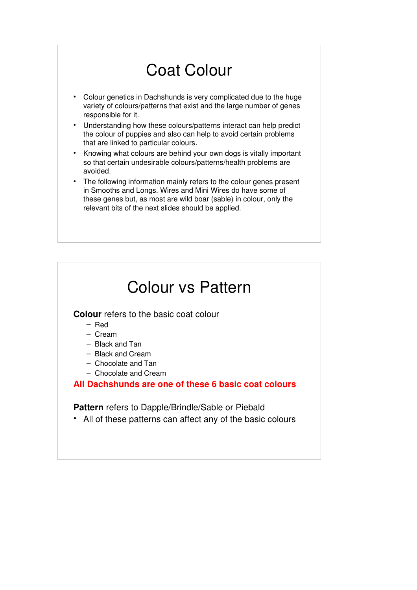# Coat Colour

- Colour genetics in Dachshunds is very complicated due to the huge variety of colours/patterns that exist and the large number of genes responsible for it.
- Understanding how these colours/patterns interact can help predict the colour of puppies and also can help to avoid certain problems that are linked to particular colours.
- Knowing what colours are behind your own dogs is vitally important so that certain undesirable colours/patterns/health problems are avoided.
- The following information mainly refers to the colour genes present in Smooths and Longs. Wires and Mini Wires do have some of these genes but, as most are wild boar (sable) in colour, only the relevant bits of the next slides should be applied.

### Colour vs Pattern **Colour** refers to the basic coat colour – Red – Cream – Black and Tan – Black and Cream – Chocolate and Tan – Chocolate and Cream **All Dachshunds are one of these 6 basic coat colours Pattern** refers to Dapple/Brindle/Sable or Piebald • All of these patterns can affect any of the basic colours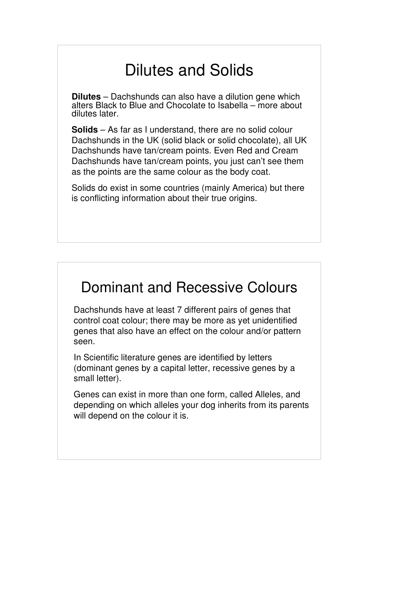# Dilutes and Solids

**Dilutes** – Dachshunds can also have a dilution gene which alters Black to Blue and Chocolate to Isabella – more about dilutes later.

**Solids** – As far as I understand, there are no solid colour Dachshunds in the UK (solid black or solid chocolate), all UK Dachshunds have tan/cream points. Even Red and Cream Dachshunds have tan/cream points, you just can't see them as the points are the same colour as the body coat.

Solids do exist in some countries (mainly America) but there is conflicting information about their true origins.

### Dominant and Recessive Colours

Dachshunds have at least 7 different pairs of genes that control coat colour; there may be more as yet unidentified genes that also have an effect on the colour and/or pattern seen.

In Scientific literature genes are identified by letters (dominant genes by a capital letter, recessive genes by a small letter).

Genes can exist in more than one form, called Alleles, and depending on which alleles your dog inherits from its parents will depend on the colour it is.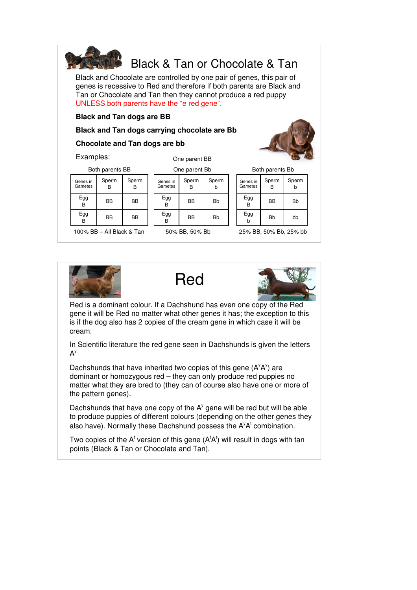

Black and Chocolate are controlled by one pair of genes, this pair of genes is recessive to Red and therefore if both parents are Black and Tan or Chocolate and Tan then they cannot produce a red puppy UNLESS both parents have the "e red gene".

#### **Black and Tan dogs are BB**

#### **Black and Tan dogs carrying chocolate are Bb**

#### **Chocolate and Tan dogs are bb**

Examples:

One parent BB

#### One parent Bb

| Both parents BB     |            |            |  |  |  |
|---------------------|------------|------------|--|--|--|
| Genes in<br>Gametes | Sperm<br>R | Sperm<br>B |  |  |  |
| Egg<br>B            | BB         | BB         |  |  |  |
| Egg                 | ВB         | ВB         |  |  |  |

100% BB – All Black & Tan

| <b>ONG NATCHL DD</b> |            |            |  |
|----------------------|------------|------------|--|
| Genes in<br>Gametes  | Sperm<br>R | Sperm<br>b |  |
| Egg<br>B             | BB         | Bb         |  |
| Egg<br>R             | BB         | Bb         |  |
|                      |            |            |  |

50% BB, 50% Bb

| Both parents Bb     |            |                         |  |  |
|---------------------|------------|-------------------------|--|--|
| Genes in<br>Gametes | Sperm<br>B | Sperm<br>$\overline{b}$ |  |  |
| Egg<br>R            | <b>BB</b>  | <b>Bb</b>               |  |  |
|                     |            | . .                     |  |  |

b Bb bb 25% BB, 50% Bb, 25% bb







Red is a dominant colour. If a Dachshund has even one copy of the Red gene it will be Red no matter what other genes it has; the exception to this is if the dog also has 2 copies of the cream gene in which case it will be cream.

In Scientific literature the red gene seen in Dachshunds is given the letters  $A^{y}$ 

Dachshunds that have inherited two copies of this gene  $(A^yA^y)$  are dominant or homozygous red – they can only produce red puppies no matter what they are bred to (they can of course also have one or more of the pattern genes).

Dachshunds that have one copy of the  $A<sup>y</sup>$  gene will be red but will be able to produce puppies of different colours (depending on the other genes they also have). Normally these Dachshund possess the  $A^yA^t$  combination.

Two copies of the A<sup>t</sup> version of this gene (A<sup>t</sup>A<sup>t</sup>) will result in dogs with tan points (Black & Tan or Chocolate and Tan).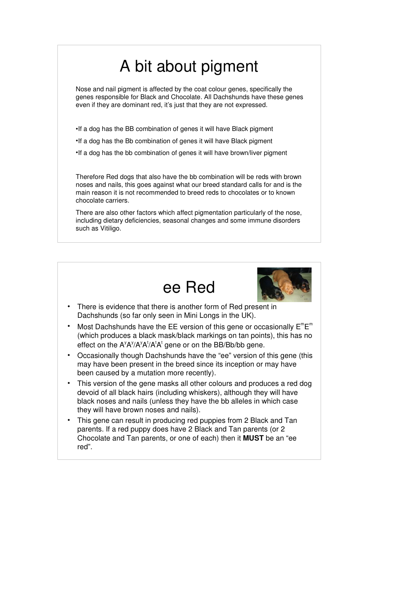# A bit about pigment

Nose and nail pigment is affected by the coat colour genes, specifically the genes responsible for Black and Chocolate. All Dachshunds have these genes even if they are dominant red, it's just that they are not expressed.

- •If a dog has the BB combination of genes it will have Black pigment
- •If a dog has the Bb combination of genes it will have Black pigment
- •If a dog has the bb combination of genes it will have brown/liver pigment

Therefore Red dogs that also have the bb combination will be reds with brown noses and nails, this goes against what our breed standard calls for and is the main reason it is not recommended to breed reds to chocolates or to known chocolate carriers.

There are also other factors which affect pigmentation particularly of the nose. including dietary deficiencies, seasonal changes and some immune disorders such as Vitiligo.





- There is evidence that there is another form of Red present in Dachshunds (so far only seen in Mini Longs in the UK).
- Most Dachshunds have the EE version of this gene or occasionally  $E^mE^m$ (which produces a black mask/black markings on tan points), this has no effect on the A<sup>y</sup>A'/A'A'/A<sup>t</sup>A<sup>t</sup> gene or on the BB/Bb/bb gene.
- Occasionally though Dachshunds have the "ee" version of this gene (this may have been present in the breed since its inception or may have been caused by a mutation more recently).
- This version of the gene masks all other colours and produces a red dog devoid of all black hairs (including whiskers), although they will have black noses and nails (unless they have the bb alleles in which case they will have brown noses and nails).
- This gene can result in producing red puppies from 2 Black and Tan parents. If a red puppy does have 2 Black and Tan parents (or 2 Chocolate and Tan parents, or one of each) then it **MUST** be an "ee red".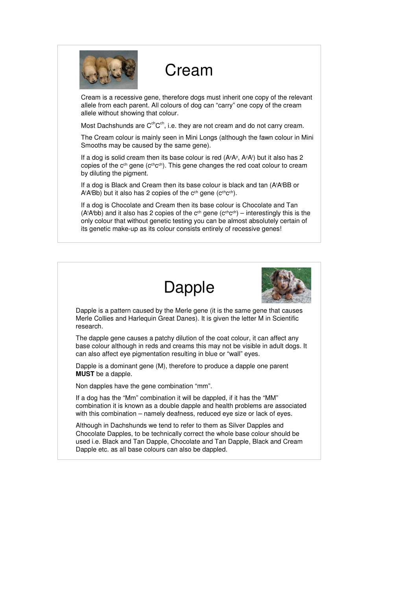

### Cream

Cream is a recessive gene, therefore dogs must inherit one copy of the relevant allele from each parent. All colours of dog can "carry" one copy of the cream allele without showing that colour.

Most Dachshunds are  $C^{ch}C^{ch}$ , i.e. they are not cream and do not carry cream.

The Cream colour is mainly seen in Mini Longs (although the fawn colour in Mini Smooths may be caused by the same gene).

If a dog is solid cream then its base colour is red  $(A^yA^y, A^yA^t)$  but it also has 2 copies of the c<sup>ch</sup> gene (c<sup>ch</sup>c<sup>ch</sup>). This gene changes the red coat colour to cream by diluting the pigment.

If a dog is Black and Cream then its base colour is black and tan (A'A'BB or  $A$ <sup>t</sup> $A$ <sup>t</sup> $B$ b) but it also has 2 copies of the c<sup>ch</sup> gene (c<sup>ch</sup>c<sup>ch</sup>).

If a dog is Chocolate and Cream then its base colour is Chocolate and Tan (AtAtbb) and it also has 2 copies of the c<sup>ch</sup> gene (c<sup>ch</sup>c<sup>ch</sup>) – interestingly this is the only colour that without genetic testing you can be almost absolutely certain of its genetic make-up as its colour consists entirely of recessive genes!





Dapple is a pattern caused by the Merle gene (it is the same gene that causes Merle Collies and Harlequin Great Danes). It is given the letter M in Scientific research.

The dapple gene causes a patchy dilution of the coat colour, it can affect any base colour although in reds and creams this may not be visible in adult dogs. It can also affect eve pigmentation resulting in blue or "wall" eves.

Dapple is a dominant gene (M), therefore to produce a dapple one parent **MUST** be a dapple.

Non dapples have the gene combination "mm".

If a dog has the "Mm" combination it will be dappled, if it has the "MM" combination it is known as a double dapple and health problems are associated with this combination – namely deafness, reduced eye size or lack of eyes.

Although in Dachshunds we tend to refer to them as Silver Dapples and Chocolate Dapples, to be technically correct the whole base colour should be used i.e. Black and Tan Dapple, Chocolate and Tan Dapple, Black and Cream Dapple etc. as all base colours can also be dappled.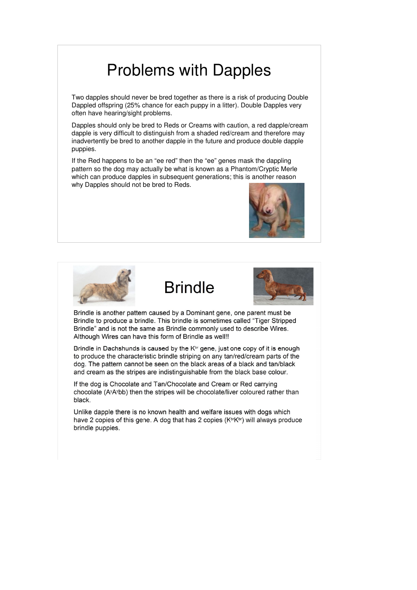## Problems with Dapples

Two dapples should never be bred together as there is a risk of producing Double Dappled offspring (25% chance for each puppy in a litter). Double Dapples very often have hearing/sight problems.

Dapples should only be bred to Reds or Creams with caution, a red dapple/cream dapple is very difficult to distinguish from a shaded red/cream and therefore may inadvertently be bred to another dapple in the future and produce double dapple puppies.

If the Red happens to be an "ee red" then the "ee" genes mask the dappling pattern so the dog may actually be what is known as a Phantom/Cryptic Merle which can produce dapples in subsequent generations; this is another reason why Dapples should not be bred to Reds.









Brindle is another pattern caused by a Dominant gene, one parent must be Brindle to produce a brindle. This brindle is sometimes called "Tiger Stripped" Brindle" and is not the same as Brindle commonly used to describe Wires. Although Wires can have this form of Brindle as well!!

Brindle in Dachshunds is caused by the K<sup>br</sup> gene, just one copy of it is enough to produce the characteristic brindle striping on any tan/red/cream parts of the dog. The pattern cannot be seen on the black areas of a black and tan/black and cream as the stripes are indistinguishable from the black base colour.

If the dog is Chocolate and Tan/Chocolate and Cream or Red carrying chocolate (A<sup>y</sup>A<sup>y</sup>bb) then the stripes will be chocolate/liver coloured rather than black.

Unlike dapple there is no known health and welfare issues with dogs which have 2 copies of this gene. A dog that has 2 copies (KbrKbr) will always produce brindle puppies.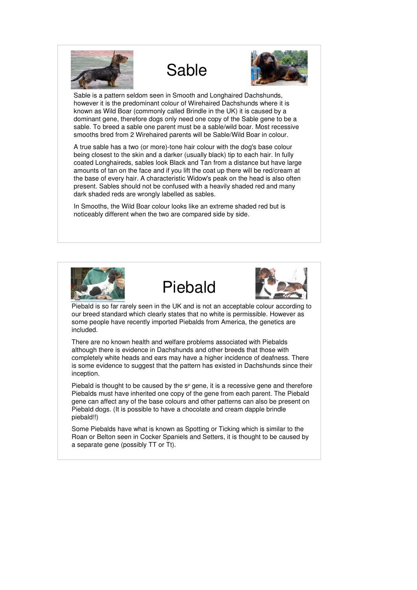





Sable is a pattern seldom seen in Smooth and Longhaired Dachshunds, however it is the predominant colour of Wirehaired Dachshunds where it is known as Wild Boar (commonly called Brindle in the UK) it is caused by a dominant gene, therefore dogs only need one copy of the Sable gene to be a sable. To breed a sable one parent must be a sable/wild boar. Most recessive smooths bred from 2 Wirehaired parents will be Sable/Wild Boar in colour.

A true sable has a two (or more)-tone hair colour with the dog's base colour being closest to the skin and a darker (usually black) tip to each hair. In fully coated Longhaireds, sables look Black and Tan from a distance but have large amounts of tan on the face and if you lift the coat up there will be red/cream at the base of every hair. A characteristic Widow's peak on the head is also often present. Sables should not be confused with a heavily shaded red and many dark shaded reds are wrongly labelled as sables.

In Smooths, the Wild Boar colour looks like an extreme shaded red but is noticeably different when the two are compared side by side.







Piebald is so far rarely seen in the UK and is not an acceptable colour according to our breed standard which clearly states that no white is permissible. However as some people have recently imported Piebalds from America, the genetics are included.

There are no known health and welfare problems associated with Piebalds although there is evidence in Dachshunds and other breeds that those with completely white heads and ears may have a higher incidence of deafness. There is some evidence to suggest that the pattern has existed in Dachshunds since their inception.

Piebald is thought to be caused by the  $s<sup>p</sup>$  gene, it is a recessive gene and therefore Piebalds must have inherited one copy of the gene from each parent. The Piebald gene can affect any of the base colours and other patterns can also be present on Piebald dogs. (It is possible to have a chocolate and cream dapple brindle piebald!!)

Some Piebalds have what is known as Spotting or Ticking which is similar to the Roan or Belton seen in Cocker Spaniels and Setters, it is thought to be caused by a separate gene (possibly TT or Tt).